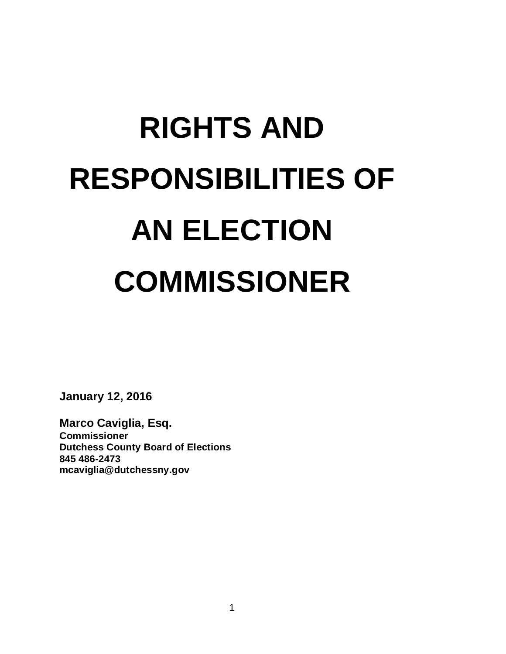# **RIGHTS AND RESPONSIBILITIES OF AN ELECTION COMMISSIONER**

**January 12, 2016**

**Marco Caviglia, Esq. Commissioner Dutchess County Board of Elections 845 486-2473 mcaviglia@dutchessny.gov**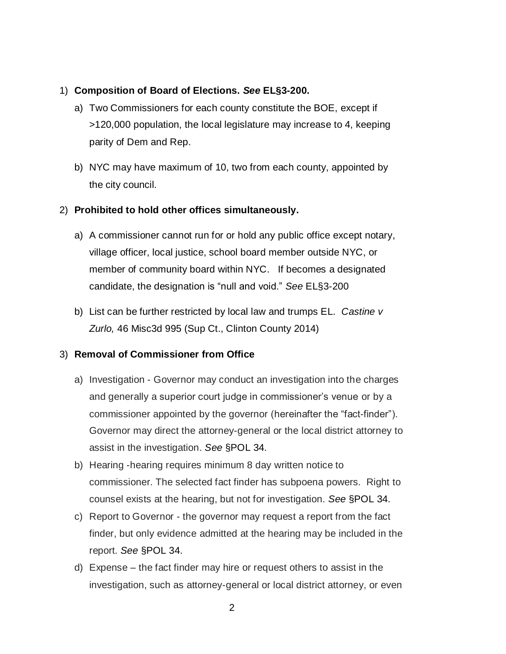### 1) **Composition of Board of Elections.** *See* **EL§3-200.**

- a) Two Commissioners for each county constitute the BOE, except if >120,000 population, the local legislature may increase to 4, keeping parity of Dem and Rep.
- b) NYC may have maximum of 10, two from each county, appointed by the city council.

## 2) **Prohibited to hold other offices simultaneously.**

- a) A commissioner cannot run for or hold any public office except notary, village officer, local justice, school board member outside NYC, or member of community board within NYC. If becomes a designated candidate, the designation is "null and void." *See* EL§3-200
- b) List can be further restricted by local law and trumps EL. *Castine v Zurlo,* 46 Misc3d 995 (Sup Ct., Clinton County 2014)

# 3) **Removal of Commissioner from Office**

- a) Investigation Governor may conduct an investigation into the charges and generally a superior court judge in commissioner's venue or by a commissioner appointed by the governor (hereinafter the "fact-finder"). Governor may direct the attorney-general or the local district attorney to assist in the investigation. *See* §POL 34.
- b) Hearing -hearing requires minimum 8 day written notice to commissioner. The selected fact finder has subpoena powers. Right to counsel exists at the hearing, but not for investigation. *See* §POL 34.
- c) Report to Governor the governor may request a report from the fact finder, but only evidence admitted at the hearing may be included in the report. *See* §POL 34.
- d) Expense the fact finder may hire or request others to assist in the investigation, such as attorney-general or local district attorney, or even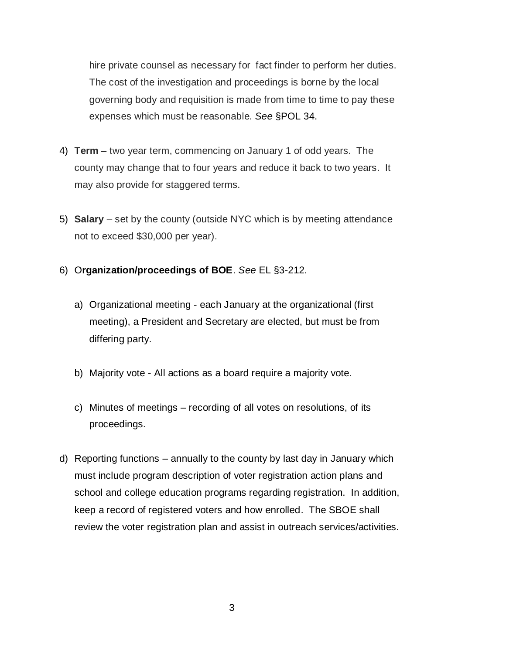hire private counsel as necessary for fact finder to perform her duties. The cost of the investigation and proceedings is borne by the local governing body and requisition is made from time to time to pay these expenses which must be reasonable. *See* §POL 34.

- 4) **Term** two year term, commencing on January 1 of odd years. The county may change that to four years and reduce it back to two years. It may also provide for staggered terms.
- 5) **Salary** set by the county (outside NYC which is by meeting attendance not to exceed \$30,000 per year).
- 6) O**rganization/proceedings of BOE**. *See* EL §3-212.
	- a) Organizational meeting each January at the organizational (first meeting), a President and Secretary are elected, but must be from differing party.
	- b) Majority vote All actions as a board require a majority vote.
	- c) Minutes of meetings recording of all votes on resolutions, of its proceedings.
- d) Reporting functions annually to the county by last day in January which must include program description of voter registration action plans and school and college education programs regarding registration. In addition, keep a record of registered voters and how enrolled. The SBOE shall review the voter registration plan and assist in outreach services/activities.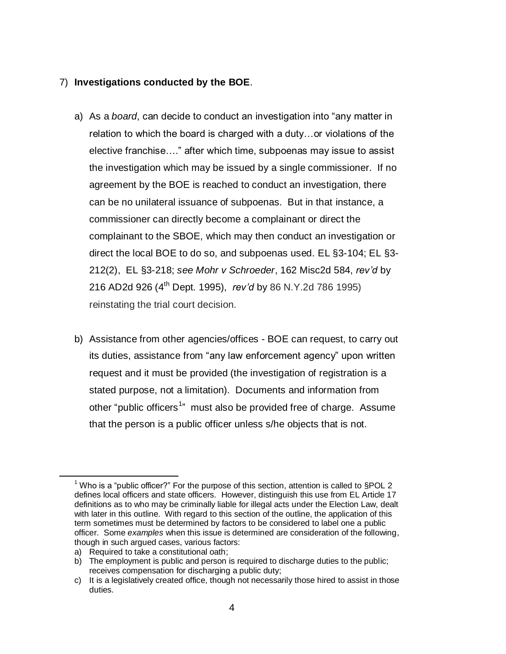## 7) **Investigations conducted by the BOE**.

- a) As a *board*, can decide to conduct an investigation into "any matter in relation to which the board is charged with a duty…or violations of the elective franchise…." after which time, subpoenas may issue to assist the investigation which may be issued by a single commissioner. If no agreement by the BOE is reached to conduct an investigation, there can be no unilateral issuance of subpoenas. But in that instance, a commissioner can directly become a complainant or direct the complainant to the SBOE, which may then conduct an investigation or direct the local BOE to do so, and subpoenas used. EL §3-104; EL §3- 212(2), EL §3-218; *see Mohr v Schroeder*, 162 Misc2d 584, *rev'd* by 216 AD2d 926 (4th Dept. 1995), *rev'd* by 86 N.Y.2d 786 1995) reinstating the trial court decision.
- b) Assistance from other agencies/offices BOE can request, to carry out its duties, assistance from "any law enforcement agency" upon written request and it must be provided (the investigation of registration is a stated purpose, not a limitation). Documents and information from other "public officers<sup>1</sup>" must also be provided free of charge. Assume that the person is a public officer unless s/he objects that is not.

 $\overline{a}$ 

<sup>&</sup>lt;sup>1</sup> Who is a "public officer?" For the purpose of this section, attention is called to  $\S$ POL 2 defines local officers and state officers. However, distinguish this use from EL Article 17 definitions as to who may be criminally liable for illegal acts under the Election Law, dealt with later in this outline. With regard to this section of the outline, the application of this term sometimes must be determined by factors to be considered to label one a public officer. Some *examples* when this issue is determined are consideration of the following, though in such argued cases, various factors:

a) Required to take a constitutional oath;

b) The employment is public and person is required to discharge duties to the public; receives compensation for discharging a public duty;

c) It is a legislatively created office, though not necessarily those hired to assist in those duties.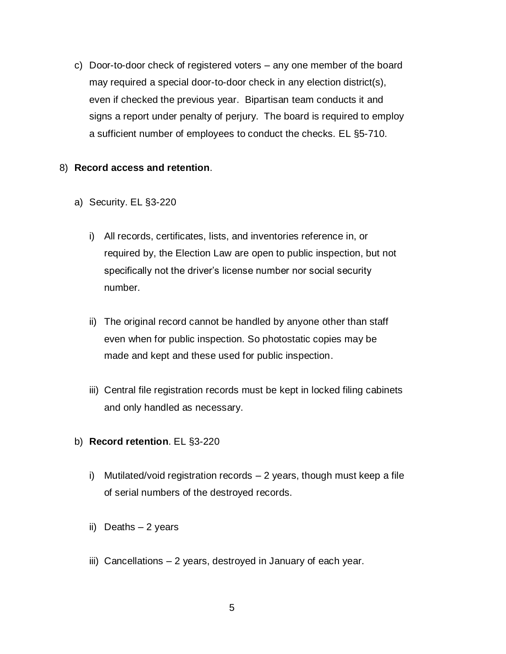c) Door-to-door check of registered voters – any one member of the board may required a special door-to-door check in any election district(s), even if checked the previous year. Bipartisan team conducts it and signs a report under penalty of perjury. The board is required to employ a sufficient number of employees to conduct the checks. EL §5-710.

### 8) **Record access and retention**.

- a) Security. EL §3-220
	- i) All records, certificates, lists, and inventories reference in, or required by, the Election Law are open to public inspection, but not specifically not the driver's license number nor social security number.
	- ii) The original record cannot be handled by anyone other than staff even when for public inspection. So photostatic copies may be made and kept and these used for public inspection.
	- iii) Central file registration records must be kept in locked filing cabinets and only handled as necessary.
- b) **Record retention**. EL §3-220
	- i) Mutilated/void registration records 2 years, though must keep a file of serial numbers of the destroyed records.
	- ii) Deaths 2 years
	- iii) Cancellations 2 years, destroyed in January of each year.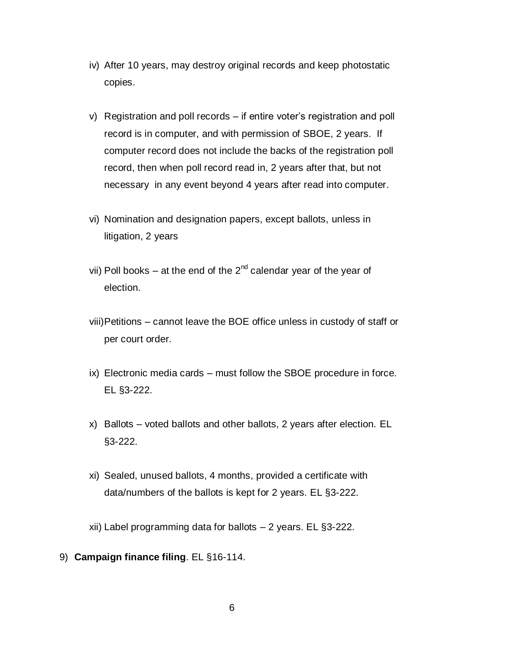- iv) After 10 years, may destroy original records and keep photostatic copies.
- v) Registration and poll records if entire voter's registration and poll record is in computer, and with permission of SBOE, 2 years. If computer record does not include the backs of the registration poll record, then when poll record read in, 2 years after that, but not necessary in any event beyond 4 years after read into computer.
- vi) Nomination and designation papers, except ballots, unless in litigation, 2 years
- vii) Poll books at the end of the  $2^{nd}$  calendar year of the year of election.
- viii)Petitions cannot leave the BOE office unless in custody of staff or per court order.
- ix) Electronic media cards must follow the SBOE procedure in force. EL §3-222.
- x) Ballots voted ballots and other ballots, 2 years after election. EL §3-222.
- xi) Sealed, unused ballots, 4 months, provided a certificate with data/numbers of the ballots is kept for 2 years. EL §3-222.
- xii) Label programming data for ballots 2 years. EL §3-222.
- 9) **Campaign finance filing**. EL §16-114.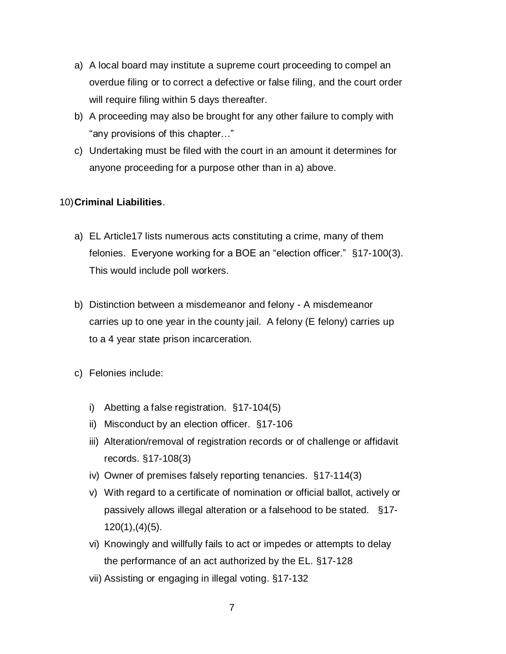- a) A local board may institute a supreme court proceeding to compel an overdue filing or to correct a defective or false filing, and the court order will require filing within 5 days thereafter.
- b) A proceeding may also be brought for any other failure to comply with "any provisions of this chapter…"
- c) Undertaking must be filed with the court in an amount it determines for anyone proceeding for a purpose other than in a) above.

# 10)**Criminal Liabilities**.

- a) EL Article17 lists numerous acts constituting a crime, many of them felonies. Everyone working for a BOE an "election officer." §17-100(3). This would include poll workers.
- b) Distinction between a misdemeanor and felony A misdemeanor carries up to one year in the county jail. A felony (E felony) carries up to a 4 year state prison incarceration.
- c) Felonies include:
	- i) Abetting a false registration. §17-104(5)
	- ii) Misconduct by an election officer. §17-106
	- iii) Alteration/removal of registration records or of challenge or affidavit records. §17-108(3)
	- iv) Owner of premises falsely reporting tenancies. §17-114(3)
	- v) With regard to a certificate of nomination or official ballot, actively or passively allows illegal alteration or a falsehood to be stated. §17- 120(1),(4)(5).
	- vi) Knowingly and willfully fails to act or impedes or attempts to delay the performance of an act authorized by the EL. §17-128
	- vii) Assisting or engaging in illegal voting. §17-132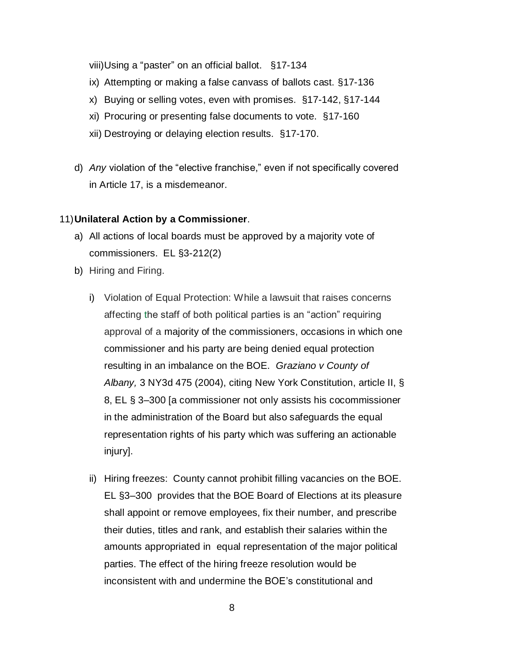viii)Using a "paster" on an official ballot. §17-134

- ix) Attempting or making a false canvass of ballots cast. §17-136
- x) Buying or selling votes, even with promises. §17-142, §17-144
- xi) Procuring or presenting false documents to vote. §17-160
- xii) Destroying or delaying election results. §17-170.
- d) *Any* violation of the "elective franchise," even if not specifically covered in Article 17, is a misdemeanor.

### 11)**Unilateral Action by a Commissioner**.

- a) All actions of local boards must be approved by a majority vote of commissioners. EL §3-212(2)
- b) Hiring and Firing.
	- i) Violation of Equal Protection: While a lawsuit that raises concerns affecting the staff of both political parties is an "action" requiring approval of a majority of the commissioners, occasions in which one commissioner and his party are being denied equal protection resulting in an imbalance on the BOE. *Graziano v County of Albany,* 3 NY3d 475 (2004), citing [New York Constitution, article II, §](https://a.next.westlaw.com/Link/Document/FullText?findType=L&pubNum=1000300&cite=NYCNART2S8&originatingDoc=I4e184c0fdbe111d98ac8f235252e36df&refType=LQ&originationContext=document&transitionType=DocumentItem&contextData=(sc.Search))  [8,](https://a.next.westlaw.com/Link/Document/FullText?findType=L&pubNum=1000300&cite=NYCNART2S8&originatingDoc=I4e184c0fdbe111d98ac8f235252e36df&refType=LQ&originationContext=document&transitionType=DocumentItem&contextData=(sc.Search)) EL [§ 3–300](https://a.next.westlaw.com/Link/Document/FullText?findType=L&pubNum=1000071&cite=NYELS3-300&originatingDoc=I4e184c0fdbe111d98ac8f235252e36df&refType=LQ&originationContext=document&transitionType=DocumentItem&contextData=(sc.Search)) [a commissioner not only assists his cocommissioner in the administration of the Board but also safeguards the equal representation rights of his party which was suffering an actionable injury].
	- ii) Hiring freezes: County cannot prohibit filling vacancies on the BOE. EL §3–300 provides that the BOE Board of Elections at its pleasure shall appoint or remove employees, fix their number, and prescribe their duties, titles and rank, and establish their salaries within the amounts appropriated in equal representation of the major political parties. The effect of the hiring freeze resolution would be inconsistent with and undermine the BOE's constitutional and
		- 8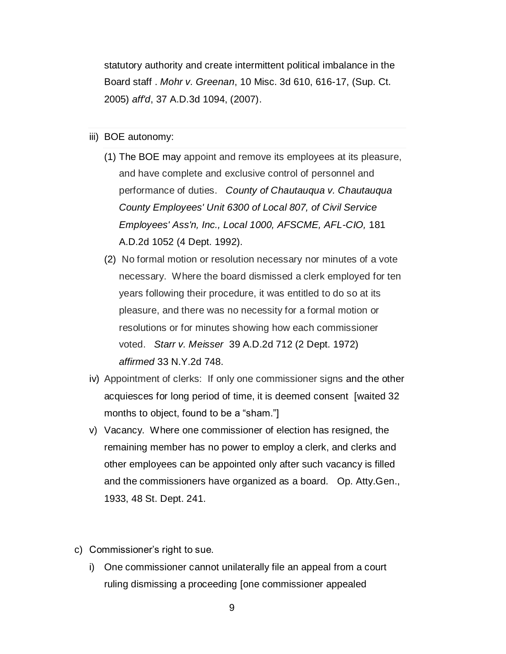statutory authority and create intermittent political imbalance in the Board staff . *Mohr v. Greenan*, 10 Misc. 3d 610, 616-17, (Sup. Ct. 2005) *aff'd*, 37 A.D.3d 1094, (2007).

- iii) BOE autonomy:
	- (1) The BOE may appoint and remove its employees at its pleasure, and have complete and exclusive control of personnel and performance of duties. *[County of Chautauqua v. Chautauqua](https://a.next.westlaw.com/Link/Document/FullText?findType=Y&serNum=1992070776&pubNum=0000602&originatingDoc=NB7BA5DB0881311D8A8ACD145B11214D7&refType=RP&originationContext=notesOfDecisions&contextData=%28sc.DocLink%29&transitionType=NotesOfDecisionItem)  County Employees' Unit [6300 of Local 807, of Civil Service](https://a.next.westlaw.com/Link/Document/FullText?findType=Y&serNum=1992070776&pubNum=0000602&originatingDoc=NB7BA5DB0881311D8A8ACD145B11214D7&refType=RP&originationContext=notesOfDecisions&contextData=%28sc.DocLink%29&transitionType=NotesOfDecisionItem)  [Employees' Ass'n, Inc., Local 1000, AFSCME, AFL-CIO,](https://a.next.westlaw.com/Link/Document/FullText?findType=Y&serNum=1992070776&pubNum=0000602&originatingDoc=NB7BA5DB0881311D8A8ACD145B11214D7&refType=RP&originationContext=notesOfDecisions&contextData=%28sc.DocLink%29&transitionType=NotesOfDecisionItem)* 181 [A.D.2d 1052 \(4 Dept. 1992\).](https://a.next.westlaw.com/Link/Document/FullText?findType=Y&serNum=1992070776&pubNum=0000602&originatingDoc=NB7BA5DB0881311D8A8ACD145B11214D7&refType=RP&originationContext=notesOfDecisions&contextData=%28sc.DocLink%29&transitionType=NotesOfDecisionItem)
	- (2) No formal motion or resolution necessary nor minutes of a vote necessary. Where the board dismissed a clerk employed for ten years following their procedure, it was entitled to do so at its pleasure, and there was no necessity for a formal motion or resolutions or for minutes showing how each commissioner voted. *Starr v. Meisser* [39 A.D.2d 712 \(2 Dept. 1972\)](https://a.next.westlaw.com/Link/Document/FullText?findType=Y&serNum=1972120220&pubNum=0000602&originatingDoc=NB7BA5DB0881311D8A8ACD145B11214D7&refType=RP&originationContext=notesOfDecisions&contextData=%28sc.DocLink%29&transitionType=NotesOfDecisionItem) *affirmed* [33 N.Y.2d 748.](https://a.next.westlaw.com/Link/Document/FullText?findType=Y&serNum=1973280059&pubNum=0000578&originatingDoc=NB7BA5DB0881311D8A8ACD145B11214D7&refType=RP&originationContext=notesOfDecisions&contextData=%28sc.DocLink%29&transitionType=NotesOfDecisionItem)
- iv) Appointment of clerks: If only one commissioner signs and the other acquiesces for long period of time, it is deemed consent [waited 32 months to object, found to be a "sham."]
- v) Vacancy. Where one commissioner of election has resigned, the remaining member has no power to employ a clerk, and clerks and other employees can be appointed only after such vacancy is filled and the commissioners have organized as a board. Op. [Atty.Gen.,](https://a.next.westlaw.com/Link/Document/FullText?findType=Y&pubNum=0000904&cite=NYOPATTYGEN1933&originatingDoc=NB7BA5DB0881311D8A8ACD145B11214D7&refType=DE&originationContext=notesOfDecisions&contextData=%28sc.DocLink%29&transitionType=NotesOfDecisionItem)  [1933, 48](https://a.next.westlaw.com/Link/Document/FullText?findType=Y&pubNum=0000904&cite=NYOPATTYGEN1933&originatingDoc=NB7BA5DB0881311D8A8ACD145B11214D7&refType=DE&originationContext=notesOfDecisions&contextData=%28sc.DocLink%29&transitionType=NotesOfDecisionItem) St. Dept. 241.
- c) Commissioner's right to sue.
	- i) One commissioner cannot unilaterally file an appeal from a court ruling dismissing a proceeding [one commissioner appealed